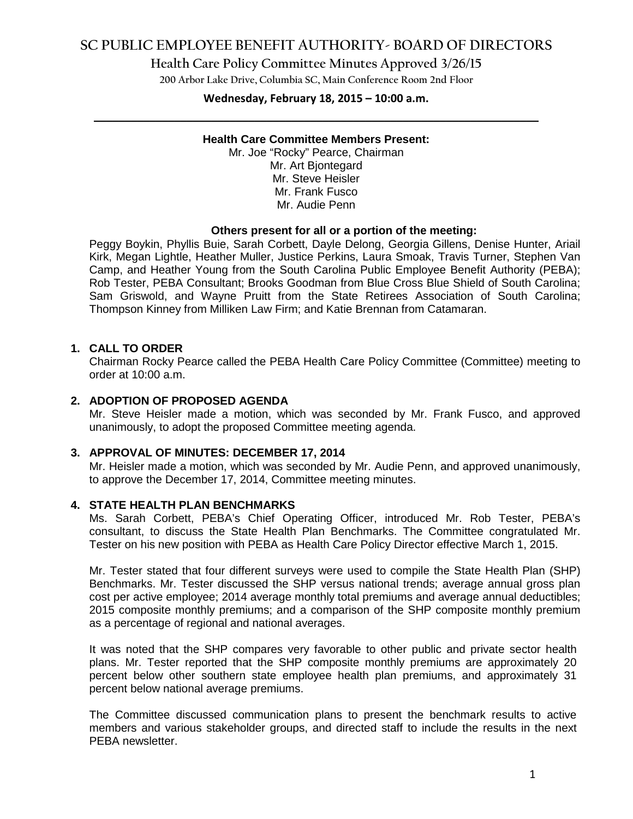## **SC PUBLIC EMPLOYEE BENEFIT AUTHORITY- BOARD OF DIRECTORS**

**Health Care Policy Committee Minutes Approved 3/26/15**

**200 Arbor Lake Drive, Columbia SC, Main Conference Room 2nd Floor**

# **Wednesday, February 18, 2015 – 10:00 a.m. \_\_\_\_\_\_\_\_\_\_\_\_\_\_\_\_\_\_\_\_\_\_\_\_\_\_\_\_\_\_\_\_\_\_\_\_\_\_\_\_\_\_\_\_\_\_\_\_\_\_\_\_\_\_\_\_\_\_\_\_\_\_\_\_\_\_\_\_\_\_\_\_**

### **Health Care Committee Members Present:**

Mr. Joe "Rocky" Pearce, Chairman Mr. Art Bjontegard Mr. Steve Heisler Mr. Frank Fusco Mr. Audie Penn

#### **Others present for all or a portion of the meeting:**

Peggy Boykin, Phyllis Buie, Sarah Corbett, Dayle Delong, Georgia Gillens, Denise Hunter, Ariail Kirk, Megan Lightle, Heather Muller, Justice Perkins, Laura Smoak, Travis Turner, Stephen Van Camp, and Heather Young from the South Carolina Public Employee Benefit Authority (PEBA); Rob Tester, PEBA Consultant; Brooks Goodman from Blue Cross Blue Shield of South Carolina; Sam Griswold, and Wayne Pruitt from the State Retirees Association of South Carolina; Thompson Kinney from Milliken Law Firm; and Katie Brennan from Catamaran.

#### **1. CALL TO ORDER**

Chairman Rocky Pearce called the PEBA Health Care Policy Committee (Committee) meeting to order at 10:00 a.m.

### **2. ADOPTION OF PROPOSED AGENDA**

Mr. Steve Heisler made a motion, which was seconded by Mr. Frank Fusco, and approved unanimously, to adopt the proposed Committee meeting agenda.

#### **3. APPROVAL OF MINUTES: DECEMBER 17, 2014**

Mr. Heisler made a motion, which was seconded by Mr. Audie Penn, and approved unanimously, to approve the December 17, 2014, Committee meeting minutes.

#### **4. STATE HEALTH PLAN BENCHMARKS**

Ms. Sarah Corbett, PEBA's Chief Operating Officer, introduced Mr. Rob Tester, PEBA's consultant, to discuss the State Health Plan Benchmarks. The Committee congratulated Mr. Tester on his new position with PEBA as Health Care Policy Director effective March 1, 2015.

Mr. Tester stated that four different surveys were used to compile the State Health Plan (SHP) Benchmarks. Mr. Tester discussed the SHP versus national trends; average annual gross plan cost per active employee; 2014 average monthly total premiums and average annual deductibles; 2015 composite monthly premiums; and a comparison of the SHP composite monthly premium as a percentage of regional and national averages.

It was noted that the SHP compares very favorable to other public and private sector health plans. Mr. Tester reported that the SHP composite monthly premiums are approximately 20 percent below other southern state employee health plan premiums, and approximately 31 percent below national average premiums.

The Committee discussed communication plans to present the benchmark results to active members and various stakeholder groups, and directed staff to include the results in the next PEBA newsletter.